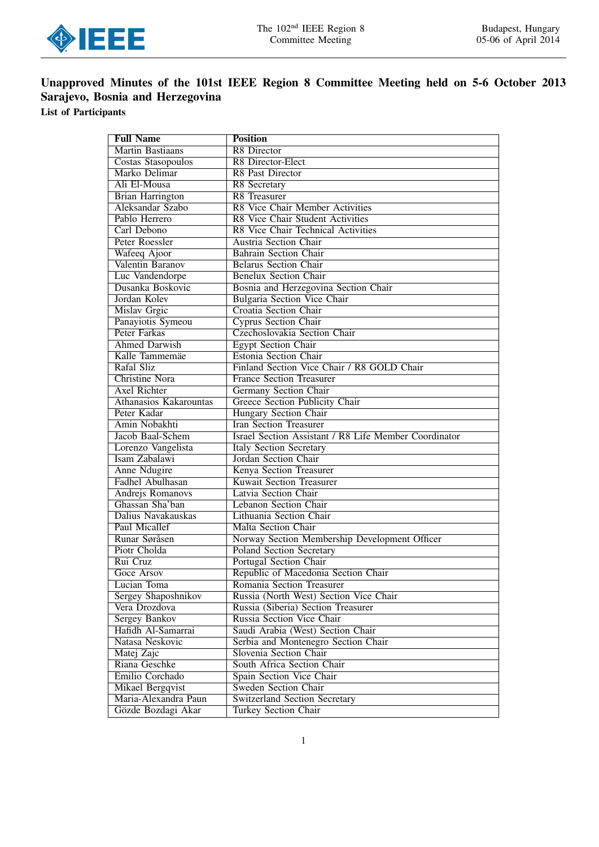

# Unapproved Minutes of the 101st IEEE Region 8 Committee Meeting held on 5-6 October 2013 Sarajevo, Bosnia and Herzegovina

List of Participants

| <b>Full Name</b>              | <b>Position</b>                                       |  |  |  |
|-------------------------------|-------------------------------------------------------|--|--|--|
| Martin Bastiaans              | R8 Director                                           |  |  |  |
| Costas Stasopoulos            | <b>R8</b> Director-Elect                              |  |  |  |
| Marko Delimar                 | R8 Past Director                                      |  |  |  |
| Ali El-Mousa                  | R8 Secretary                                          |  |  |  |
| <b>Brian Harrington</b>       | <b>R8</b> Treasurer                                   |  |  |  |
| Aleksandar Szabo              | <b>R8 Vice Chair Member Activities</b>                |  |  |  |
| Pablo Herrero                 | R8 Vice Chair Student Activities                      |  |  |  |
| Carl Debono                   | R8 Vice Chair Technical Activities                    |  |  |  |
| Peter Roessler                | Austria Section Chair                                 |  |  |  |
| Wafeeq Ajoor                  | <b>Bahrain Section Chair</b>                          |  |  |  |
| Valentin Baranov              | <b>Belarus Section Chair</b>                          |  |  |  |
| Luc Vandendorpe               | <b>Benelux Section Chair</b>                          |  |  |  |
| Dusanka Boskovic              | Bosnia and Herzegovina Section Chair                  |  |  |  |
| Jordan Kolev                  | Bulgaria Section Vice Chair                           |  |  |  |
| Mislav Grgic                  | <b>Croatia Section Chair</b>                          |  |  |  |
| Panayiotis Symeou             | <b>Cyprus Section Chair</b>                           |  |  |  |
| <b>Peter Farkas</b>           | Czechoslovakia Section Chair                          |  |  |  |
| <b>Ahmed Darwish</b>          | <b>Egypt Section Chair</b>                            |  |  |  |
| Kalle Tammemäe                | <b>Estonia Section Chair</b>                          |  |  |  |
| Rafal Sliz                    | Finland Section Vice Chair / R8 GOLD Chair            |  |  |  |
| <b>Christine Nora</b>         | <b>France Section Treasurer</b>                       |  |  |  |
| <b>Axel Richter</b>           | <b>Germany Section Chair</b>                          |  |  |  |
| <b>Athanasios Kakarountas</b> | Greece Section Publicity Chair                        |  |  |  |
| Peter Kadar                   | Hungary Section Chair                                 |  |  |  |
| Amin Nobakhti                 | <b>Iran Section Treasurer</b>                         |  |  |  |
| Jacob Baal-Schem              | Israel Section Assistant / R8 Life Member Coordinator |  |  |  |
| Lorenzo Vangelista            | <b>Italy Section Secretary</b>                        |  |  |  |
| Isam Zabalawi                 | Jordan Section Chair                                  |  |  |  |
| <b>Anne Ndugire</b>           | Kenya Section Treasurer                               |  |  |  |
| Fadhel Abulhasan              | <b>Kuwait Section Treasurer</b>                       |  |  |  |
| Andrejs Romanovs              | Latvia Section Chair                                  |  |  |  |
| Ghassan Sha'ban               | Lebanon Section Chair                                 |  |  |  |
| Dalius Navakauskas            | Lithuania Section Chair                               |  |  |  |
| Paul Micallef                 | Malta Section Chair                                   |  |  |  |
| Runar Søråsen                 | Norway Section Membership Development Officer         |  |  |  |
| Piotr Cholda                  | <b>Poland Section Secretary</b>                       |  |  |  |
| Rui Cruz                      | Portugal Section Chair                                |  |  |  |
| Goce Arsov                    | Republic of Macedonia Section Chair                   |  |  |  |
| Lucian Toma                   | Romania Section Treasurer                             |  |  |  |
| Sergey Shaposhnikov           | Russia (North West) Section Vice Chair                |  |  |  |
| Vera Drozdova                 | Russia (Siberia) Section Treasurer                    |  |  |  |
| <b>Sergey Bankov</b>          | Russia Section Vice Chair                             |  |  |  |
| Hafidh Al-Samarrai            | Saudi Arabia (West) Section Chair                     |  |  |  |
| Natasa Neskovic               | Serbia and Montenegro Section Chair                   |  |  |  |
| Matej Zajc                    | Slovenia Section Chair                                |  |  |  |
| Riana Geschke                 | South Africa Section Chair                            |  |  |  |
| Emilio Corchado               | Spain Section Vice Chair                              |  |  |  |
| Mikael Bergqvist              | <b>Sweden Section Chair</b>                           |  |  |  |
| Maria-Alexandra Paun          | <b>Switzerland Section Secretary</b>                  |  |  |  |
| Gözde Bozdagi Akar            | <b>Turkey Section Chair</b>                           |  |  |  |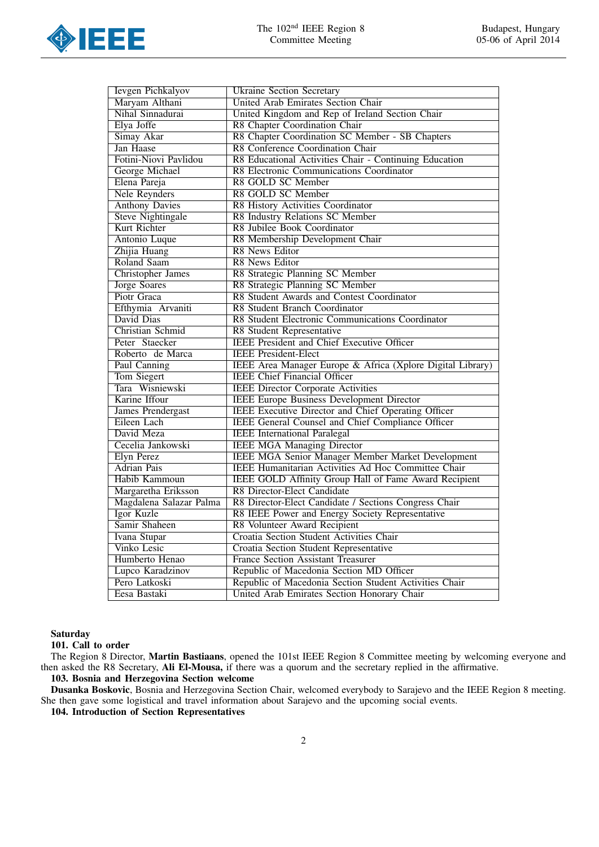

| Ievgen Pichkalyov<br><b>Ukraine Section Secretary</b> |                                                            |  |  |
|-------------------------------------------------------|------------------------------------------------------------|--|--|
| Maryam Althani                                        | <b>United Arab Emirates Section Chair</b>                  |  |  |
| Nihal Sinnadurai                                      | United Kingdom and Rep of Ireland Section Chair            |  |  |
| Elya Joffe                                            | R8 Chapter Coordination Chair                              |  |  |
| Simay Akar                                            | R8 Chapter Coordination SC Member - SB Chapters            |  |  |
| Jan Haase                                             | R8 Conference Coordination Chair                           |  |  |
| Fotini-Niovi Pavlidou                                 | R8 Educational Activities Chair - Continuing Education     |  |  |
| George Michael                                        | R8 Electronic Communications Coordinator                   |  |  |
| Elena Pareja                                          | R8 GOLD SC Member                                          |  |  |
| <b>Nele Reynders</b>                                  | R8 GOLD SC Member                                          |  |  |
| <b>Anthony Davies</b>                                 | R8 History Activities Coordinator                          |  |  |
| <b>Steve Nightingale</b>                              | R8 Industry Relations SC Member                            |  |  |
| Kurt Richter                                          | R8 Jubilee Book Coordinator                                |  |  |
| Antonio Luque                                         | R8 Membership Development Chair                            |  |  |
| Zhijia Huang                                          | <b>R8</b> News Editor                                      |  |  |
| Roland Saam                                           | R8 News Editor                                             |  |  |
| <b>Christopher James</b>                              | R8 Strategic Planning SC Member                            |  |  |
| <b>Jorge Soares</b>                                   | R8 Strategic Planning SC Member                            |  |  |
| Piotr Graca                                           | R8 Student Awards and Contest Coordinator                  |  |  |
| Efthymia Arvaniti                                     | R8 Student Branch Coordinator                              |  |  |
| David Dias                                            | R8 Student Electronic Communications Coordinator           |  |  |
| <b>Christian Schmid</b>                               | <b>R8 Student Representative</b>                           |  |  |
| Peter Staecker                                        | <b>IEEE</b> President and Chief Executive Officer          |  |  |
| Roberto de Marca                                      | <b>IEEE</b> President-Elect                                |  |  |
| Paul Canning                                          | IEEE Area Manager Europe & Africa (Xplore Digital Library) |  |  |
| Tom Siegert                                           | <b>IEEE Chief Financial Officer</b>                        |  |  |
| Tara Wisniewski                                       | <b>IEEE Director Corporate Activities</b>                  |  |  |
| Karine Iffour                                         | <b>IEEE Europe Business Development Director</b>           |  |  |
| <b>James Prendergast</b>                              | <b>IEEE Executive Director and Chief Operating Officer</b> |  |  |
| Eileen Lach                                           | <b>IEEE General Counsel and Chief Compliance Officer</b>   |  |  |
| David Meza                                            | <b>IEEE</b> International Paralegal                        |  |  |
| Cecelia Jankowski                                     | <b>IEEE MGA Managing Director</b>                          |  |  |
| <b>Elyn Perez</b>                                     | <b>IEEE MGA Senior Manager Member Market Development</b>   |  |  |
| <b>Adrian Pais</b>                                    | <b>IEEE Humanitarian Activities Ad Hoc Committee Chair</b> |  |  |
| Habib Kammoun                                         | IEEE GOLD Affinity Group Hall of Fame Award Recipient      |  |  |
| Margaretha Eriksson                                   | R8 Director-Elect Candidate                                |  |  |
| Magdalena Salazar Palma                               | R8 Director-Elect Candidate / Sections Congress Chair      |  |  |
| Igor Kuzle                                            | R8 IEEE Power and Energy Society Representative            |  |  |
| Samir Shaheen                                         | R8 Volunteer Award Recipient                               |  |  |
| Ivana Stupar                                          | Croatia Section Student Activities Chair                   |  |  |
| <b>Vinko Lesic</b>                                    | <b>Croatia Section Student Representative</b>              |  |  |
| Humberto Henao                                        | <b>France Section Assistant Treasurer</b>                  |  |  |
| Lupco Karadzinov                                      | Republic of Macedonia Section MD Officer                   |  |  |
| Pero Latkoski                                         | Republic of Macedonia Section Student Activities Chair     |  |  |
| Eesa Bastaki                                          | United Arab Emirates Section Honorary Chair                |  |  |

**Saturday** 

101. Call to order

The Region 8 Director, Martin Bastiaans, opened the 101st IEEE Region 8 Committee meeting by welcoming everyone and then asked the R8 Secretary, Ali El-Mousa, if there was a quorum and the secretary replied in the affirmative. 103. Bosnia and Herzegovina Section welcome

Dusanka Boskovic, Bosnia and Herzegovina Section Chair, welcomed everybody to Sarajevo and the IEEE Region 8 meeting. She then gave some logistical and travel information about Sarajevo and the upcoming social events.

104. Introduction of Section Representatives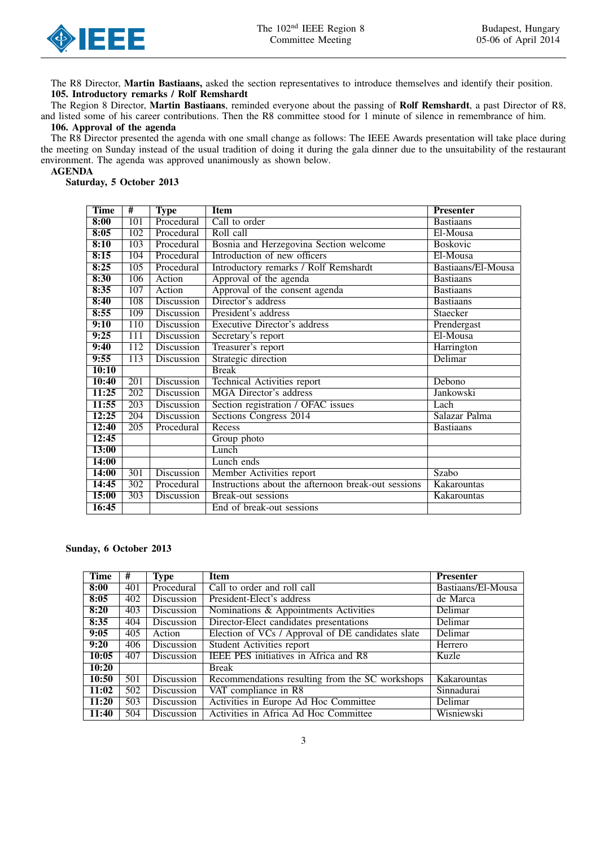

The R8 Director, Martin Bastiaans, asked the section representatives to introduce themselves and identify their position. 105. Introductory remarks / Rolf Remshardt

The Region 8 Director, Martin Bastiaans, reminded everyone about the passing of Rolf Remshardt, a past Director of R8, and listed some of his career contributions. Then the R8 committee stood for 1 minute of silence in remembrance of him. 106. Approval of the agenda

## The R8 Director presented the agenda with one small change as follows: The IEEE Awards presentation will take place during the meeting on Sunday instead of the usual tradition of doing it during the gala dinner due to the unsuitability of the restaurant environment. The agenda was approved unanimously as shown below.

#### AGENDA

Saturday, 5 October 2013

| <b>Time</b> | #                | <b>Type</b>       | <b>Item</b>                                         | <b>Presenter</b>   |
|-------------|------------------|-------------------|-----------------------------------------------------|--------------------|
| 8:00        | 101              | Procedural        | Call to order                                       | <b>Bastiaans</b>   |
| 8:05        | 102              | Procedural        | Roll call                                           | El-Mousa           |
| 8:10        | 103              | Procedural        | Bosnia and Herzegovina Section welcome              | <b>Boskovic</b>    |
| 8:15        | 104              | Procedural        | Introduction of new officers                        | El-Mousa           |
| 8:25        | 105              | Procedural        | Introductory remarks / Rolf Remshardt               | Bastiaans/El-Mousa |
| 8:30        | 106              | Action            | Approval of the agenda                              | <b>Bastians</b>    |
| 8:35        | 107              | Action            | Approval of the consent agenda                      | <b>Bastians</b>    |
| 8:40        | 108              | Discussion        | Director's address                                  | <b>Bastiaans</b>   |
| 8:55        | 109              | Discussion        | President's address                                 | Staecker           |
| 9:10        | 110              | <b>Discussion</b> | <b>Executive Director's address</b>                 | Prendergast        |
| 9:25        | $\overline{111}$ | Discussion        | Secretary's report                                  | El-Mousa           |
| 9:40        | 112              | Discussion        | Treasurer's report                                  | Harrington         |
| 9:55        | 113              | <b>Discussion</b> | Strategic direction                                 | Delimar            |
| 10:10       |                  |                   | <b>Break</b>                                        |                    |
| 10:40       | 201              | Discussion        | Technical Activities report                         | Debono             |
| 11:25       | 202              | <b>Discussion</b> | <b>MGA</b> Director's address                       | <b>Jankowski</b>   |
| 11:55       | $\overline{203}$ | Discussion        | Section registration / OFAC issues                  | Lach               |
| 12:25       | 204              | Discussion        | Sections Congress 2014                              | Salazar Palma      |
| 12:40       | 205              | Procedural        | Recess                                              | <b>Bastians</b>    |
| 12:45       |                  |                   | Group photo                                         |                    |
| 13:00       |                  |                   | Lunch                                               |                    |
| 14:00       |                  |                   | Lunch ends                                          |                    |
| 14:00       | 301              | <b>Discussion</b> | Member Activities report                            | Szabo              |
| 14:45       | 302              | Procedural        | Instructions about the afternoon break-out sessions | Kakarountas        |
| 15:00       | 303              | Discussion        | Break-out sessions                                  | Kakarountas        |
| 16:45       |                  |                   | End of break-out sessions                           |                    |

## Sunday, 6 October 2013

| <b>Time</b> | #   | <b>Type</b> | <b>Item</b>                                       | <b>Presenter</b>   |
|-------------|-----|-------------|---------------------------------------------------|--------------------|
| 8:00        | 401 | Procedural  | Call to order and roll call                       | Bastiaans/El-Mousa |
| 8:05        | 402 | Discussion  | President-Elect's address                         | de Marca           |
| 8:20        | 403 | Discussion  | Nominations & Appointments Activities             | Delimar            |
| 8:35        | 404 | Discussion  | Director-Elect candidates presentations           | Delimar            |
| 9:05        | 405 | Action      | Election of VCs / Approval of DE candidates slate | Delimar            |
| 9:20        | 406 | Discussion  | <b>Student Activities report</b>                  | Herrero            |
| 10:05       | 407 | Discussion  | IEEE PES initiatives in Africa and R8             | Kuzle              |
| 10:20       |     |             | Break                                             |                    |
| 10:50       | 501 | Discussion  | Recommendations resulting from the SC workshops   | Kakarountas        |
| 11:02       | 502 | Discussion  | VAT compliance in R8                              | Sinnadurai         |
| 11:20       | 503 | Discussion  | Activities in Europe Ad Hoc Committee             | Delimar            |
| 11:40       | 504 | Discussion  | Activities in Africa Ad Hoc Committee             | Wisniewski         |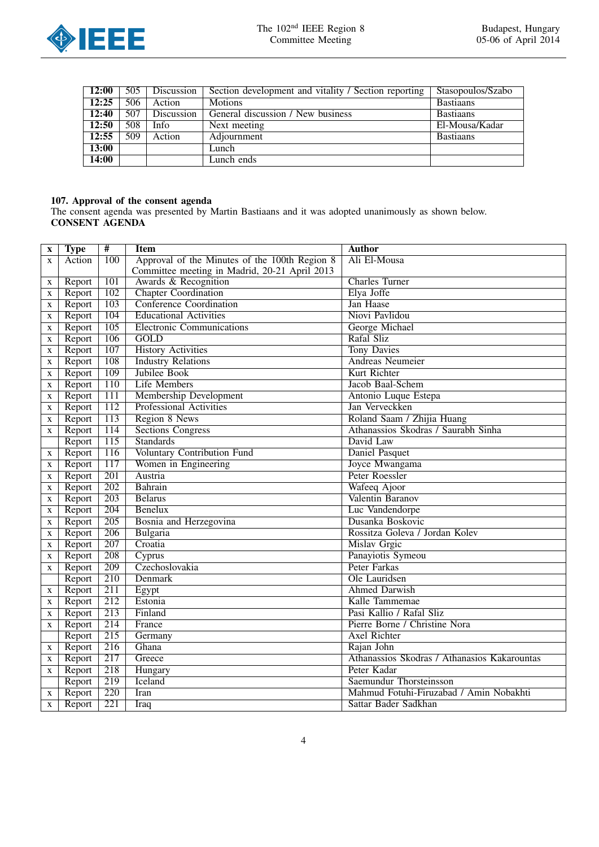

| 12:00 | 505 | Discussion | Section development and vitality / Section reporting | Stasopoulos/Szabo |
|-------|-----|------------|------------------------------------------------------|-------------------|
| 12:25 | 506 | Action     | <b>Motions</b>                                       | <b>Bastiaans</b>  |
| 12:40 | 507 | Discussion | General discussion / New business                    | <b>Bastiaans</b>  |
| 12:50 | 508 | Info       | Next meeting                                         | El-Mousa/Kadar    |
| 12:55 | 509 | Action     | Adjournment                                          | <b>Bastiaans</b>  |
| 13:00 |     |            | Lunch                                                |                   |
| 14:00 |     |            | Lunch ends                                           |                   |

## 107. Approval of the consent agenda

The consent agenda was presented by Martin Bastiaans and it was adopted unanimously as shown below. CONSENT AGENDA

| $\mathbf X$ | <b>Type</b>      | $\overline{\texttt{H}}$ | <b>Item</b>                                                           | <b>Author</b>                                |
|-------------|------------------|-------------------------|-----------------------------------------------------------------------|----------------------------------------------|
| X           | Action           | 100                     | Approval of the Minutes of the 100th Region 8                         | Ali El-Mousa                                 |
|             |                  | 101                     | Committee meeting in Madrid, 20-21 April 2013<br>Awards & Recognition | <b>Charles Turner</b>                        |
| X<br>X      | Report<br>Report | 102                     | <b>Chapter Coordination</b>                                           | Elya Joffe                                   |
|             |                  | 103                     | <b>Conference Coordination</b>                                        | Jan Haase                                    |
| X           | Report           | 104                     | <b>Educational Activities</b>                                         | Niovi Pavlidou                               |
| X           | Report           | $\overline{105}$        | <b>Electronic Communications</b>                                      | George Michael                               |
| $\mathbf X$ | Report<br>Report | 106                     | GOLD                                                                  | Rafal Sliz                                   |
| $\mathbf X$ |                  | 107                     | <b>History Activities</b>                                             | <b>Tony Davies</b>                           |
| X           | Report           | 108                     |                                                                       |                                              |
| $\mathbf X$ | Report           | 109                     | <b>Industry Relations</b>                                             | <b>Andreas Neumeier</b>                      |
| X           | Report           |                         | Jubilee Book                                                          | Kurt Richter                                 |
| X           | Report           | 110                     | <b>Life Members</b>                                                   | Jacob Baal-Schem                             |
| X           | Report           | $\overline{111}$        | Membership Development                                                | Antonio Luque Estepa                         |
| $\mathbf X$ | Report           | 112                     | <b>Professional Activities</b>                                        | Jan Verveckken                               |
| X           | Report           | 113                     | Region 8 News                                                         | Roland Saam / Zhijia Huang                   |
| X           | Report           | 114                     | <b>Sections Congress</b>                                              | Athanassios Skodras / Saurabh Sinha          |
|             | Report           | $\overline{115}$        | <b>Standards</b>                                                      | David Law                                    |
| X           | Report           | 116                     | Voluntary Contribution Fund                                           | Daniel Pasquet                               |
| X           | Report           | 117                     | Women in Engineering                                                  | Joyce Mwangama                               |
| $\mathbf X$ | Report           | 201                     | Austria                                                               | Peter Roessler                               |
| X           | Report           | 202                     | Bahrain                                                               | Wafeeq Ajoor                                 |
| X           | Report           | 203                     | <b>Belarus</b>                                                        | Valentin Baranov                             |
| X           | Report           | 204                     | Benelux                                                               | Luc Vandendorpe                              |
| X           | Report           | 205                     | Bosnia and Herzegovina                                                | Dusanka Boskovic                             |
| X           | Report           | 206                     | Bulgaria                                                              | Rossitza Goleva / Jordan Kolev               |
| $\mathbf X$ | Report           | 207                     | Croatia                                                               | <b>Mislav Grgic</b>                          |
| X           | Report           | 208                     | Cyprus                                                                | Panayiotis Symeou                            |
| X           | Report           | 209                     | Czechoslovakia                                                        | Peter Farkas                                 |
|             | Report           | 210                     | Denmark                                                               | Ole Lauridsen                                |
| X           | Report           | $\overline{211}$        | Egypt                                                                 | <b>Ahmed Darwish</b>                         |
| $\mathbf X$ | Report           | $\overline{212}$        | Estonia                                                               | Kalle Tammemae                               |
| $\mathbf X$ | Report           | 213                     | Finland                                                               | Pasi Kallio / Rafal Sliz                     |
| X           | Report           | 214                     | France                                                                | Pierre Borne / Christine Nora                |
|             | Report           | 215                     | Germany                                                               | <b>Axel Richter</b>                          |
| X           | Report           | 216                     | Ghana                                                                 | Rajan John                                   |
| X           | Report           | 217                     | Greece                                                                | Athanassios Skodras / Athanasios Kakarountas |
| X           | Report           | 218                     | Hungary                                                               | Peter Kadar                                  |
|             | Report           | 219                     | Iceland                                                               | Saemundur Thorsteinsson                      |
| X           | Report           | 220                     | Iran                                                                  | Mahmud Fotuhi-Firuzabad / Amin Nobakhti      |
| X           | Report           | 221                     | <b>Iraq</b>                                                           | Sattar Bader Sadkhan                         |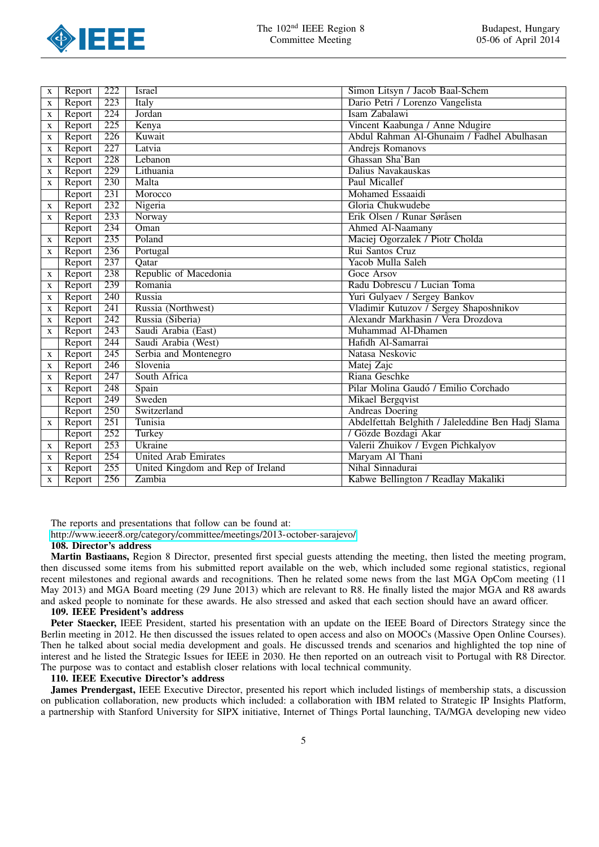

| X | Report | $\overline{222}$ | Israel                            | Simon Litsyn / Jacob Baal-Schem                   |
|---|--------|------------------|-----------------------------------|---------------------------------------------------|
| X | Report | 223              | Italy                             | Dario Petri / Lorenzo Vangelista                  |
| X | Report | 224              | Jordan                            | Isam Zabalawi                                     |
| X | Report | 225              | Kenya                             | Vincent Kaabunga / Anne Ndugire                   |
| X | Report | 226              | Kuwait                            | Abdul Rahman Al-Ghunaim / Fadhel Abulhasan        |
| X | Report | 227              | Latvia                            | Andrejs Romanovs                                  |
| X | Report | 228              | Lebanon                           | Ghassan Sha'Ban                                   |
| X | Report | 229              | Lithuania                         | Dalius Navakauskas                                |
| X | Report | 230              | Malta                             | <b>Paul Micallef</b>                              |
|   | Report | 231              | Morocco                           | <b>Mohamed Essaaidi</b>                           |
| X | Report | 232              | Nigeria                           | Gloria Chukwudebe                                 |
| X | Report | $\overline{233}$ | Norway                            | Erik Olsen / Runar Søråsen                        |
|   | Report | 234              | Oman                              | Ahmed Al-Naamany                                  |
| X | Report | 235              | Poland                            | Maciej Ogorzalek / Piotr Cholda                   |
| X | Report | 236              | Portugal                          | Rui Santos Cruz                                   |
|   | Report | 237              | Qatar                             | Yacob Mulla Saleh                                 |
| X | Report | 238              | Republic of Macedonia             | Goce Arsov                                        |
| X | Report | 239              | Romania                           | Radu Dobrescu / Lucian Toma                       |
| X | Report | 240              | Russia                            | Yuri Gulyaev / Sergey Bankov                      |
| X | Report | 241              | Russia (Northwest)                | Vladimir Kutuzov / Sergey Shaposhnikov            |
| X | Report | 242              | Russia (Siberia)                  | Alexandr Markhasin / Vera Drozdova                |
| X | Report | $\overline{243}$ | Saudi Arabia (East)               | Muhammad Al-Dhamen                                |
|   | Report | 244              | Saudi Arabia (West)               | Hafidh Al-Samarrai                                |
| X | Report | 245              | Serbia and Montenegro             | Natasa Neskovic                                   |
| X | Report | 246              | Slovenia                          | Matej Zajc                                        |
| X | Report | 247              | South Africa                      | Riana Geschke                                     |
| X | Report | 248              | Spain                             | Pilar Molina Gaudó / Emilio Corchado              |
|   | Report | 249              | Sweden                            | <b>Mikael Bergqvist</b>                           |
|   | Report | 250              | Switzerland                       | <b>Andreas Doering</b>                            |
| X | Report | 251              | Tunisia                           | Abdelfettah Belghith / Jaleleddine Ben Hadj Slama |
|   | Report | 252              | Turkey                            | / Gözde Bozdagi Akar                              |
| X | Report | 253              | Ukraine                           | Valerii Zhuikov / Evgen Pichkalyov                |
| X | Report | 254              | <b>United Arab Emirates</b>       | Maryam Al Thani                                   |
| X | Report | 255              | United Kingdom and Rep of Ireland | Nihal Sinnadurai                                  |
| X | Report | 256              | Zambia                            | Kabwe Bellington / Readlay Makaliki               |

The reports and presentations that follow can be found at:

<http://www.ieeer8.org/category/committee/meetings/2013-october-sarajevo/>

108. Director's address

Martin Bastiaans, Region 8 Director, presented first special guests attending the meeting, then listed the meeting program, then discussed some items from his submitted report available on the web, which included some regional statistics, regional recent milestones and regional awards and recognitions. Then he related some news from the last MGA OpCom meeting (11 May 2013) and MGA Board meeting (29 June 2013) which are relevant to R8. He finally listed the major MGA and R8 awards and asked people to nominate for these awards. He also stressed and asked that each section should have an award officer.

## 109. IEEE President's address

Peter Staecker, IEEE President, started his presentation with an update on the IEEE Board of Directors Strategy since the Berlin meeting in 2012. He then discussed the issues related to open access and also on MOOCs (Massive Open Online Courses). Then he talked about social media development and goals. He discussed trends and scenarios and highlighted the top nine of interest and he listed the Strategic Issues for IEEE in 2030. He then reported on an outreach visit to Portugal with R8 Director. The purpose was to contact and establish closer relations with local technical community.

## 110. IEEE Executive Director's address

James Prendergast, IEEE Executive Director, presented his report which included listings of membership stats, a discussion on publication collaboration, new products which included: a collaboration with IBM related to Strategic IP Insights Platform, a partnership with Stanford University for SIPX initiative, Internet of Things Portal launching, TA/MGA developing new video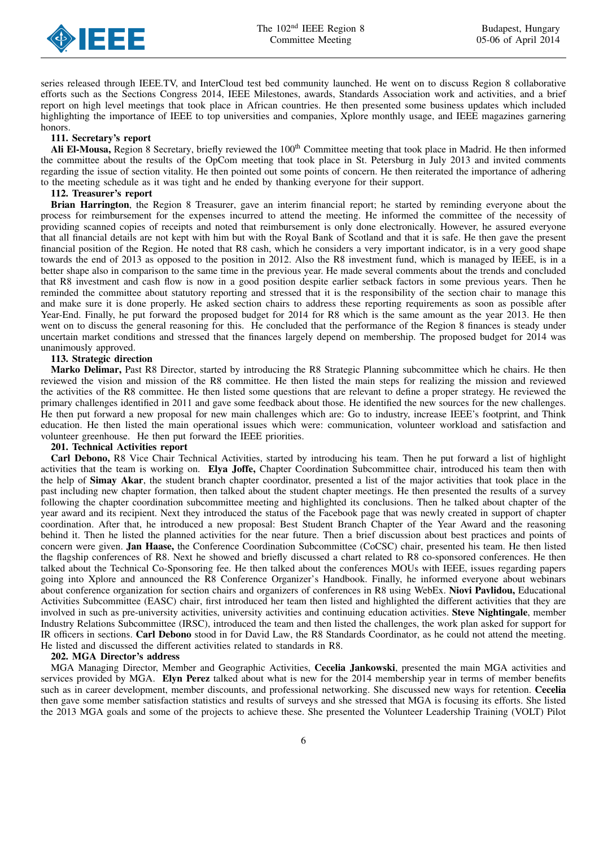

series released through IEEE.TV, and InterCloud test bed community launched. He went on to discuss Region 8 collaborative efforts such as the Sections Congress 2014, IEEE Milestones, awards, Standards Association work and activities, and a brief report on high level meetings that took place in African countries. He then presented some business updates which included highlighting the importance of IEEE to top universities and companies, Xplore monthly usage, and IEEE magazines garnering honors.

#### 111. Secretary's report

Ali El-Mousa, Region 8 Secretary, briefly reviewed the 100<sup>th</sup> Committee meeting that took place in Madrid. He then informed the committee about the results of the OpCom meeting that took place in St. Petersburg in July 2013 and invited comments regarding the issue of section vitality. He then pointed out some points of concern. He then reiterated the importance of adhering to the meeting schedule as it was tight and he ended by thanking everyone for their support.

#### 112. Treasurer's report

Brian Harrington, the Region 8 Treasurer, gave an interim financial report; he started by reminding everyone about the process for reimbursement for the expenses incurred to attend the meeting. He informed the committee of the necessity of providing scanned copies of receipts and noted that reimbursement is only done electronically. However, he assured everyone that all financial details are not kept with him but with the Royal Bank of Scotland and that it is safe. He then gave the present financial position of the Region. He noted that R8 cash, which he considers a very important indicator, is in a very good shape towards the end of 2013 as opposed to the position in 2012. Also the R8 investment fund, which is managed by IEEE, is in a better shape also in comparison to the same time in the previous year. He made several comments about the trends and concluded that R8 investment and cash flow is now in a good position despite earlier setback factors in some previous years. Then he reminded the committee about statutory reporting and stressed that it is the responsibility of the section chair to manage this and make sure it is done properly. He asked section chairs to address these reporting requirements as soon as possible after Year-End. Finally, he put forward the proposed budget for 2014 for R8 which is the same amount as the year 2013. He then went on to discuss the general reasoning for this. He concluded that the performance of the Region 8 finances is steady under uncertain market conditions and stressed that the finances largely depend on membership. The proposed budget for 2014 was unanimously approved.

#### 113. Strategic direction

Marko Delimar, Past R8 Director, started by introducing the R8 Strategic Planning subcommittee which he chairs. He then reviewed the vision and mission of the R8 committee. He then listed the main steps for realizing the mission and reviewed the activities of the R8 committee. He then listed some questions that are relevant to define a proper strategy. He reviewed the primary challenges identified in 2011 and gave some feedback about those. He identified the new sources for the new challenges. He then put forward a new proposal for new main challenges which are: Go to industry, increase IEEE's footprint, and Think education. He then listed the main operational issues which were: communication, volunteer workload and satisfaction and volunteer greenhouse. He then put forward the IEEE priorities.

#### 201. Technical Activities report

Carl Debono, R8 Vice Chair Technical Activities, started by introducing his team. Then he put forward a list of highlight activities that the team is working on. Elya Joffe, Chapter Coordination Subcommittee chair, introduced his team then with the help of Simay Akar, the student branch chapter coordinator, presented a list of the major activities that took place in the past including new chapter formation, then talked about the student chapter meetings. He then presented the results of a survey following the chapter coordination subcommittee meeting and highlighted its conclusions. Then he talked about chapter of the year award and its recipient. Next they introduced the status of the Facebook page that was newly created in support of chapter coordination. After that, he introduced a new proposal: Best Student Branch Chapter of the Year Award and the reasoning behind it. Then he listed the planned activities for the near future. Then a brief discussion about best practices and points of concern were given. Jan Haase, the Conference Coordination Subcommittee (CoCSC) chair, presented his team. He then listed the flagship conferences of R8. Next he showed and briefly discussed a chart related to R8 co-sponsored conferences. He then talked about the Technical Co-Sponsoring fee. He then talked about the conferences MOUs with IEEE, issues regarding papers going into Xplore and announced the R8 Conference Organizer's Handbook. Finally, he informed everyone about webinars about conference organization for section chairs and organizers of conferences in R8 using WebEx. Niovi Pavlidou, Educational Activities Subcommittee (EASC) chair, first introduced her team then listed and highlighted the different activities that they are involved in such as pre-university activities, university activities and continuing education activities. Steve Nightingale, member Industry Relations Subcommittee (IRSC), introduced the team and then listed the challenges, the work plan asked for support for IR officers in sections. Carl Debono stood in for David Law, the R8 Standards Coordinator, as he could not attend the meeting. He listed and discussed the different activities related to standards in R8.

#### 202. MGA Director's address

MGA Managing Director, Member and Geographic Activities, Cecelia Jankowski, presented the main MGA activities and services provided by MGA. Elyn Perez talked about what is new for the 2014 membership year in terms of member benefits such as in career development, member discounts, and professional networking. She discussed new ways for retention. Cecelia then gave some member satisfaction statistics and results of surveys and she stressed that MGA is focusing its efforts. She listed the 2013 MGA goals and some of the projects to achieve these. She presented the Volunteer Leadership Training (VOLT) Pilot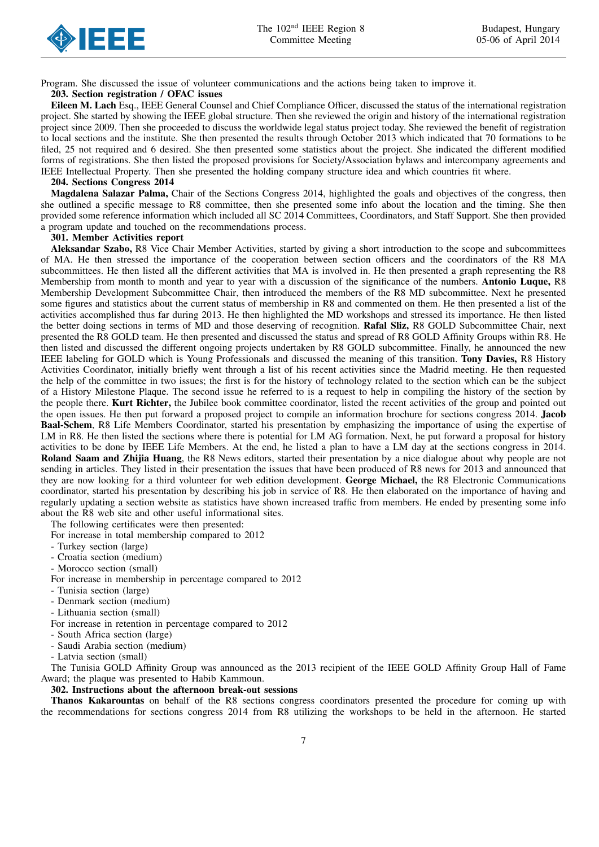

Program. She discussed the issue of volunteer communications and the actions being taken to improve it.

## 203. Section registration / OFAC issues

Eileen M. Lach Esq., IEEE General Counsel and Chief Compliance Officer, discussed the status of the international registration project. She started by showing the IEEE global structure. Then she reviewed the origin and history of the international registration project since 2009. Then she proceeded to discuss the worldwide legal status project today. She reviewed the benefit of registration to local sections and the institute. She then presented the results through October 2013 which indicated that 70 formations to be filed, 25 not required and 6 desired. She then presented some statistics about the project. She indicated the different modified forms of registrations. She then listed the proposed provisions for Society/Association bylaws and intercompany agreements and IEEE Intellectual Property. Then she presented the holding company structure idea and which countries fit where.

#### 204. Sections Congress 2014

Magdalena Salazar Palma, Chair of the Sections Congress 2014, highlighted the goals and objectives of the congress, then she outlined a specific message to R8 committee, then she presented some info about the location and the timing. She then provided some reference information which included all SC 2014 Committees, Coordinators, and Staff Support. She then provided a program update and touched on the recommendations process.

#### 301. Member Activities report

Aleksandar Szabo, R8 Vice Chair Member Activities, started by giving a short introduction to the scope and subcommittees of MA. He then stressed the importance of the cooperation between section officers and the coordinators of the R8 MA subcommittees. He then listed all the different activities that MA is involved in. He then presented a graph representing the R8 Membership from month to month and year to year with a discussion of the significance of the numbers. **Antonio Luque, R8** Membership Development Subcommittee Chair, then introduced the members of the R8 MD subcommittee. Next he presented some figures and statistics about the current status of membership in R8 and commented on them. He then presented a list of the activities accomplished thus far during 2013. He then highlighted the MD workshops and stressed its importance. He then listed the better doing sections in terms of MD and those deserving of recognition. Rafal Sliz, R8 GOLD Subcommittee Chair, next presented the R8 GOLD team. He then presented and discussed the status and spread of R8 GOLD Affinity Groups within R8. He then listed and discussed the different ongoing projects undertaken by R8 GOLD subcommittee. Finally, he announced the new IEEE labeling for GOLD which is Young Professionals and discussed the meaning of this transition. Tony Davies, R8 History Activities Coordinator, initially briefly went through a list of his recent activities since the Madrid meeting. He then requested the help of the committee in two issues; the first is for the history of technology related to the section which can be the subject of a History Milestone Plaque. The second issue he referred to is a request to help in compiling the history of the section by the people there. Kurt Richter, the Jubilee book committee coordinator, listed the recent activities of the group and pointed out the open issues. He then put forward a proposed project to compile an information brochure for sections congress 2014. Jacob Baal-Schem, R8 Life Members Coordinator, started his presentation by emphasizing the importance of using the expertise of LM in R8. He then listed the sections where there is potential for LM AG formation. Next, he put forward a proposal for history activities to be done by IEEE Life Members. At the end, he listed a plan to have a LM day at the sections congress in 2014. Roland Saam and Zhijia Huang, the R8 News editors, started their presentation by a nice dialogue about why people are not sending in articles. They listed in their presentation the issues that have been produced of R8 news for 2013 and announced that they are now looking for a third volunteer for web edition development. George Michael, the R8 Electronic Communications coordinator, started his presentation by describing his job in service of R8. He then elaborated on the importance of having and regularly updating a section website as statistics have shown increased traffic from members. He ended by presenting some info about the R8 web site and other useful informational sites.

The following certificates were then presented:

For increase in total membership compared to 2012

- Turkey section (large)

- Croatia section (medium)

- Morocco section (small)
- For increase in membership in percentage compared to 2012
- Tunisia section (large)
- Denmark section (medium)
- Lithuania section (small)

For increase in retention in percentage compared to 2012

- South Africa section (large)
- Saudi Arabia section (medium)

- Latvia section (small)

The Tunisia GOLD Affinity Group was announced as the 2013 recipient of the IEEE GOLD Affinity Group Hall of Fame Award; the plaque was presented to Habib Kammoun.

## 302. Instructions about the afternoon break-out sessions

Thanos Kakarountas on behalf of the R8 sections congress coordinators presented the procedure for coming up with the recommendations for sections congress 2014 from R8 utilizing the workshops to be held in the afternoon. He started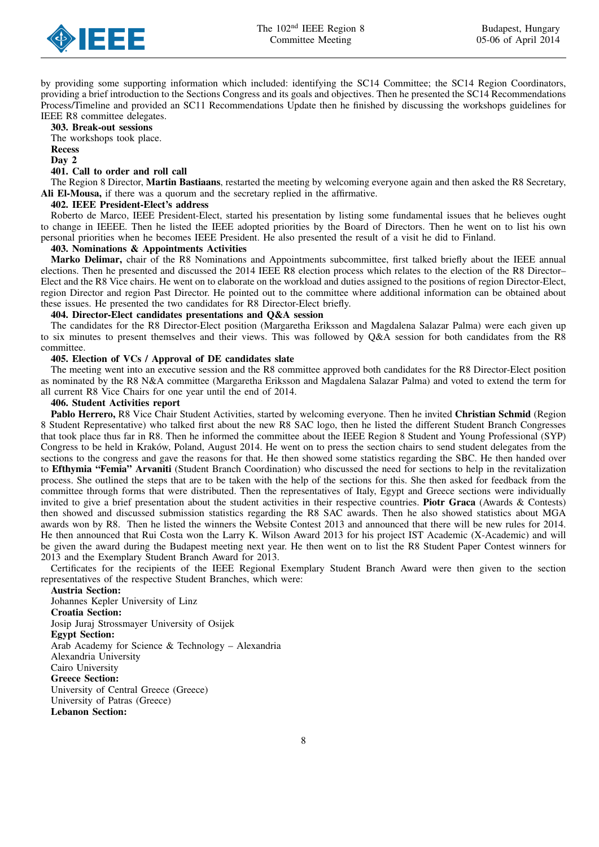

by providing some supporting information which included: identifying the SC14 Committee; the SC14 Region Coordinators, providing a brief introduction to the Sections Congress and its goals and objectives. Then he presented the SC14 Recommendations Process/Timeline and provided an SC11 Recommendations Update then he finished by discussing the workshops guidelines for IEEE R8 committee delegates.

303. Break-out sessions The workshops took place. Recess Day 2

## 401. Call to order and roll call

The Region 8 Director, Martin Bastiaans, restarted the meeting by welcoming everyone again and then asked the R8 Secretary, Ali El-Mousa, if there was a quorum and the secretary replied in the affirmative.

## 402. IEEE President-Elect's address

Roberto de Marco, IEEE President-Elect, started his presentation by listing some fundamental issues that he believes ought to change in IEEEE. Then he listed the IEEE adopted priorities by the Board of Directors. Then he went on to list his own personal priorities when he becomes IEEE President. He also presented the result of a visit he did to Finland.

#### 403. Nominations & Appointments Activities

Marko Delimar, chair of the R8 Nominations and Appointments subcommittee, first talked briefly about the IEEE annual elections. Then he presented and discussed the 2014 IEEE R8 election process which relates to the election of the R8 Director– Elect and the R8 Vice chairs. He went on to elaborate on the workload and duties assigned to the positions of region Director-Elect, region Director and region Past Director. He pointed out to the committee where additional information can be obtained about these issues. He presented the two candidates for R8 Director-Elect briefly.

#### 404. Director-Elect candidates presentations and Q&A session

The candidates for the R8 Director-Elect position (Margaretha Eriksson and Magdalena Salazar Palma) were each given up to six minutes to present themselves and their views. This was followed by Q&A session for both candidates from the R8 committee.

### 405. Election of VCs / Approval of DE candidates slate

The meeting went into an executive session and the R8 committee approved both candidates for the R8 Director-Elect position as nominated by the R8 N&A committee (Margaretha Eriksson and Magdalena Salazar Palma) and voted to extend the term for all current R8 Vice Chairs for one year until the end of 2014.

#### 406. Student Activities report

Pablo Herrero, R8 Vice Chair Student Activities, started by welcoming everyone. Then he invited Christian Schmid (Region 8 Student Representative) who talked first about the new R8 SAC logo, then he listed the different Student Branch Congresses that took place thus far in R8. Then he informed the committee about the IEEE Region 8 Student and Young Professional (SYP) Congress to be held in Kraków, Poland, August 2014. He went on to press the section chairs to send student delegates from the sections to the congress and gave the reasons for that. He then showed some statistics regarding the SBC. He then handed over to Efthymia "Femia" Arvaniti (Student Branch Coordination) who discussed the need for sections to help in the revitalization process. She outlined the steps that are to be taken with the help of the sections for this. She then asked for feedback from the committee through forms that were distributed. Then the representatives of Italy, Egypt and Greece sections were individually invited to give a brief presentation about the student activities in their respective countries. **Piotr Graca** (Awards & Contests) then showed and discussed submission statistics regarding the R8 SAC awards. Then he also showed statistics about MGA awards won by R8. Then he listed the winners the Website Contest 2013 and announced that there will be new rules for 2014. He then announced that Rui Costa won the Larry K. Wilson Award 2013 for his project IST Academic (X-Academic) and will be given the award during the Budapest meeting next year. He then went on to list the R8 Student Paper Contest winners for 2013 and the Exemplary Student Branch Award for 2013.

Certificates for the recipients of the IEEE Regional Exemplary Student Branch Award were then given to the section representatives of the respective Student Branches, which were:

Austria Section: Johannes Kepler University of Linz Croatia Section: Josip Juraj Strossmayer University of Osijek Egypt Section: Arab Academy for Science & Technology – Alexandria Alexandria University Cairo University Greece Section: University of Central Greece (Greece) University of Patras (Greece) Lebanon Section: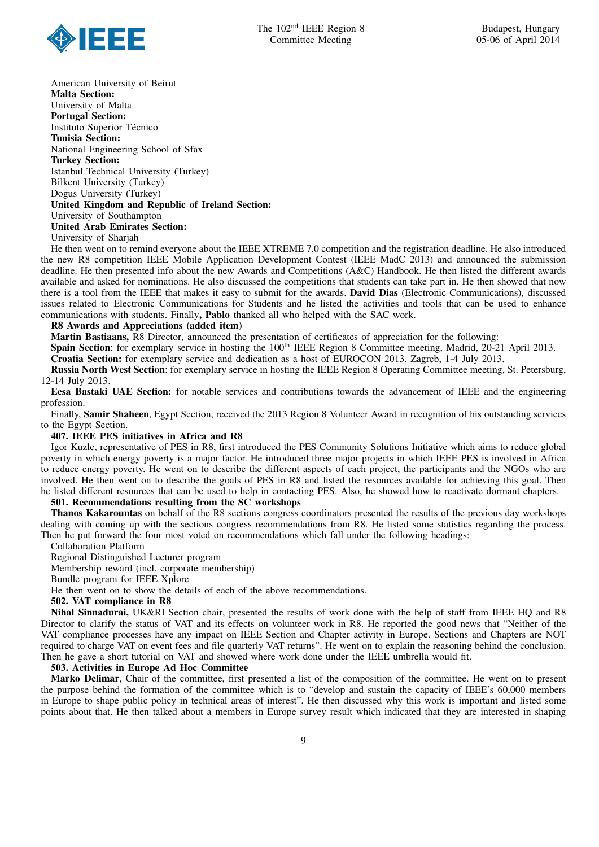

American University of Beirut Malta Section: University of Malta Portugal Section: Instituto Superior Técnico Tunisia Section: National Engineering School of Sfax Turkey Section: Istanbul Technical University (Turkey) Bilkent University (Turkey) Dogus University (Turkey) United Kingdom and Republic of Ireland Section: University of Southampton United Arab Emirates Section: University of Sharjah

He then went on to remind everyone about the IEEE XTREME 7.0 competition and the registration deadline. He also introduced the new R8 competition IEEE Mobile Application Development Contest (IEEE MadC 2013) and announced the submission deadline. He then presented info about the new Awards and Competitions (A&C) Handbook. He then listed the different awards available and asked for nominations. He also discussed the competitions that students can take part in. He then showed that now there is a tool from the IEEE that makes it easy to submit for the awards. David Dias (Electronic Communications), discussed issues related to Electronic Communications for Students and he listed the activities and tools that can be used to enhance communications with students. Finally, Pablo thanked all who helped with the SAC work.

#### R8 Awards and Appreciations (added item)

Martin Bastiaans, R8 Director, announced the presentation of certificates of appreciation for the following:

Spain Section: for exemplary service in hosting the 100<sup>th</sup> IEEE Region 8 Committee meeting, Madrid, 20-21 April 2013.

Croatia Section: for exemplary service and dedication as a host of EUROCON 2013, Zagreb, 1-4 July 2013.

Russia North West Section: for exemplary service in hosting the IEEE Region 8 Operating Committee meeting, St. Petersburg, 12-14 July 2013.

Eesa Bastaki UAE Section: for notable services and contributions towards the advancement of IEEE and the engineering profession.

Finally, Samir Shaheen, Egypt Section, received the 2013 Region 8 Volunteer Award in recognition of his outstanding services to the Egypt Section.

#### 407. IEEE PES initiatives in Africa and R8

Igor Kuzle, representative of PES in R8, first introduced the PES Community Solutions Initiative which aims to reduce global poverty in which energy poverty is a major factor. He introduced three major projects in which IEEE PES is involved in Africa to reduce energy poverty. He went on to describe the different aspects of each project, the participants and the NGOs who are involved. He then went on to describe the goals of PES in R8 and listed the resources available for achieving this goal. Then he listed different resources that can be used to help in contacting PES. Also, he showed how to reactivate dormant chapters.

## 501. Recommendations resulting from the SC workshops

Thanos Kakarountas on behalf of the R8 sections congress coordinators presented the results of the previous day workshops dealing with coming up with the sections congress recommendations from R8. He listed some statistics regarding the process. Then he put forward the four most voted on recommendations which fall under the following headings:

#### Collaboration Platform

Regional Distinguished Lecturer program

Membership reward (incl. corporate membership)

Bundle program for IEEE Xplore

He then went on to show the details of each of the above recommendations.

#### 502. VAT compliance in R8

Nihal Sinnadurai, UK&RI Section chair, presented the results of work done with the help of staff from IEEE HQ and R8 Director to clarify the status of VAT and its effects on volunteer work in R8. He reported the good news that "Neither of the VAT compliance processes have any impact on IEEE Section and Chapter activity in Europe. Sections and Chapters are NOT required to charge VAT on event fees and file quarterly VAT returns". He went on to explain the reasoning behind the conclusion. Then he gave a short tutorial on VAT and showed where work done under the IEEE umbrella would fit.

#### 503. Activities in Europe Ad Hoc Committee

Marko Delimar, Chair of the committee, first presented a list of the composition of the committee. He went on to present the purpose behind the formation of the committee which is to "develop and sustain the capacity of IEEE's 60,000 members in Europe to shape public policy in technical areas of interest". He then discussed why this work is important and listed some points about that. He then talked about a members in Europe survey result which indicated that they are interested in shaping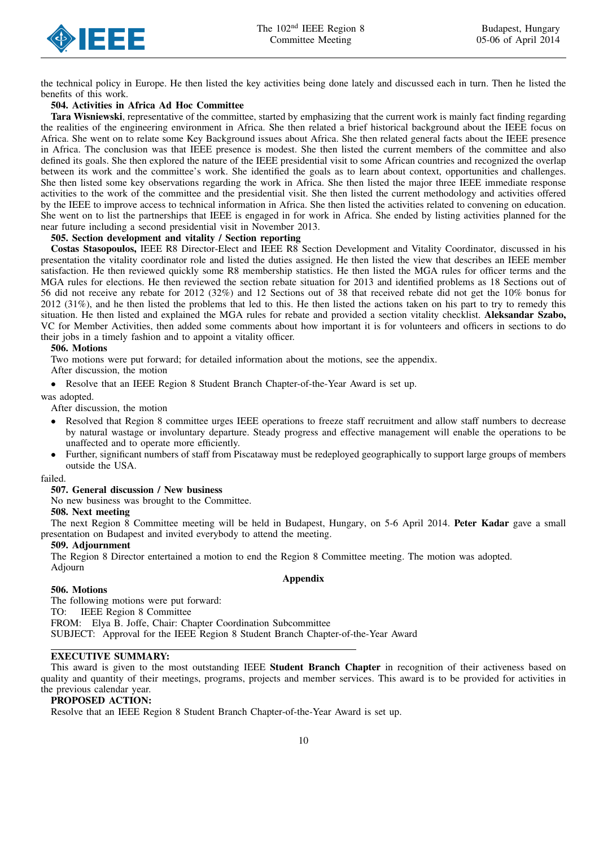

the technical policy in Europe. He then listed the key activities being done lately and discussed each in turn. Then he listed the benefits of this work.

## 504. Activities in Africa Ad Hoc Committee

Tara Wisniewski, representative of the committee, started by emphasizing that the current work is mainly fact finding regarding the realities of the engineering environment in Africa. She then related a brief historical background about the IEEE focus on Africa. She went on to relate some Key Background issues about Africa. She then related general facts about the IEEE presence in Africa. The conclusion was that IEEE presence is modest. She then listed the current members of the committee and also defined its goals. She then explored the nature of the IEEE presidential visit to some African countries and recognized the overlap between its work and the committee's work. She identified the goals as to learn about context, opportunities and challenges. She then listed some key observations regarding the work in Africa. She then listed the major three IEEE immediate response activities to the work of the committee and the presidential visit. She then listed the current methodology and activities offered by the IEEE to improve access to technical information in Africa. She then listed the activities related to convening on education. She went on to list the partnerships that IEEE is engaged in for work in Africa. She ended by listing activities planned for the near future including a second presidential visit in November 2013.

## 505. Section development and vitality / Section reporting

Costas Stasopoulos, IEEE R8 Director-Elect and IEEE R8 Section Development and Vitality Coordinator, discussed in his presentation the vitality coordinator role and listed the duties assigned. He then listed the view that describes an IEEE member satisfaction. He then reviewed quickly some R8 membership statistics. He then listed the MGA rules for officer terms and the MGA rules for elections. He then reviewed the section rebate situation for 2013 and identified problems as 18 Sections out of 56 did not receive any rebate for 2012 (32%) and 12 Sections out of 38 that received rebate did not get the 10% bonus for 2012 (31%), and he then listed the problems that led to this. He then listed the actions taken on his part to try to remedy this situation. He then listed and explained the MGA rules for rebate and provided a section vitality checklist. Aleksandar Szabo, VC for Member Activities, then added some comments about how important it is for volunteers and officers in sections to do their jobs in a timely fashion and to appoint a vitality officer.

#### 506. Motions

Two motions were put forward; for detailed information about the motions, see the appendix.

After discussion, the motion

• Resolve that an IEEE Region 8 Student Branch Chapter-of-the-Year Award is set up.

was adopted.

After discussion, the motion

- Resolved that Region 8 committee urges IEEE operations to freeze staff recruitment and allow staff numbers to decrease by natural wastage or involuntary departure. Steady progress and effective management will enable the operations to be unaffected and to operate more efficiently.
- Further, significant numbers of staff from Piscataway must be redeployed geographically to support large groups of members outside the USA.

failed.

## 507. General discussion / New business

No new business was brought to the Committee.

## 508. Next meeting

The next Region 8 Committee meeting will be held in Budapest, Hungary, on 5-6 April 2014. Peter Kadar gave a small presentation on Budapest and invited everybody to attend the meeting.

Appendix

#### 509. Adjournment

The Region 8 Director entertained a motion to end the Region 8 Committee meeting. The motion was adopted. Adjourn

## 506. Motions

The following motions were put forward: TO: IEEE Region 8 Committee FROM: Elya B. Joffe, Chair: Chapter Coordination Subcommittee SUBJECT: Approval for the IEEE Region 8 Student Branch Chapter-of-the-Year Award

## EXECUTIVE SUMMARY:

This award is given to the most outstanding IEEE Student Branch Chapter in recognition of their activeness based on quality and quantity of their meetings, programs, projects and member services. This award is to be provided for activities in the previous calendar year.

## PROPOSED ACTION:

Resolve that an IEEE Region 8 Student Branch Chapter-of-the-Year Award is set up.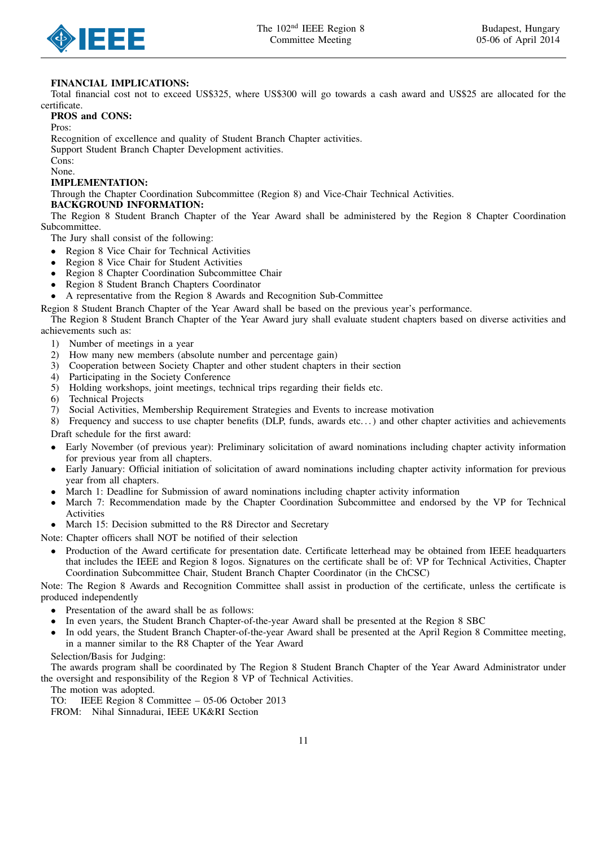



## FINANCIAL IMPLICATIONS:

Total financial cost not to exceed US\$325, where US\$300 will go towards a cash award and US\$25 are allocated for the certificate.

## PROS and CONS:

Pros:

Recognition of excellence and quality of Student Branch Chapter activities.

Support Student Branch Chapter Development activities.

Cons: None.

## IMPLEMENTATION:

Through the Chapter Coordination Subcommittee (Region 8) and Vice-Chair Technical Activities.

## BACKGROUND INFORMATION:

The Region 8 Student Branch Chapter of the Year Award shall be administered by the Region 8 Chapter Coordination Subcommittee.

The Jury shall consist of the following:

- Region 8 Vice Chair for Technical Activities
- Region 8 Vice Chair for Student Activities
- Region 8 Chapter Coordination Subcommittee Chair
- Region 8 Student Branch Chapters Coordinator
- A representative from the Region 8 Awards and Recognition Sub-Committee

Region 8 Student Branch Chapter of the Year Award shall be based on the previous year's performance.

The Region 8 Student Branch Chapter of the Year Award jury shall evaluate student chapters based on diverse activities and achievements such as:

- 1) Number of meetings in a year
- 2) How many new members (absolute number and percentage gain)<br>3) Cooperation between Society Chapter and other student chapters
- 3) Cooperation between Society Chapter and other student chapters in their section
- 4) Participating in the Society Conference
- 5) Holding workshops, joint meetings, technical trips regarding their fields etc.
- 6) Technical Projects
- 7) Social Activities, Membership Requirement Strategies and Events to increase motivation

8) Frequency and success to use chapter benefits (DLP, funds, awards etc...) and other chapter activities and achievements Draft schedule for the first award:

- Early November (of previous year): Preliminary solicitation of award nominations including chapter activity information for previous year from all chapters.
- Early January: Official initiation of solicitation of award nominations including chapter activity information for previous year from all chapters.
- March 1: Deadline for Submission of award nominations including chapter activity information
- March 7: Recommendation made by the Chapter Coordination Subcommittee and endorsed by the VP for Technical Activities
- March 15: Decision submitted to the R8 Director and Secretary

Note: Chapter officers shall NOT be notified of their selection

• Production of the Award certificate for presentation date. Certificate letterhead may be obtained from IEEE headquarters that includes the IEEE and Region 8 logos. Signatures on the certificate shall be of: VP for Technical Activities, Chapter Coordination Subcommittee Chair, Student Branch Chapter Coordinator (in the ChCSC)

Note: The Region 8 Awards and Recognition Committee shall assist in production of the certificate, unless the certificate is produced independently

- Presentation of the award shall be as follows:
- In even years, the Student Branch Chapter-of-the-year Award shall be presented at the Region 8 SBC
- In odd years, the Student Branch Chapter-of-the-year Award shall be presented at the April Region 8 Committee meeting, in a manner similar to the R8 Chapter of the Year Award

## Selection/Basis for Judging:

The awards program shall be coordinated by The Region 8 Student Branch Chapter of the Year Award Administrator under the oversight and responsibility of the Region 8 VP of Technical Activities.

The motion was adopted.

TO: IEEE Region 8 Committee – 05-06 October 2013

FROM: Nihal Sinnadurai, IEEE UK&RI Section